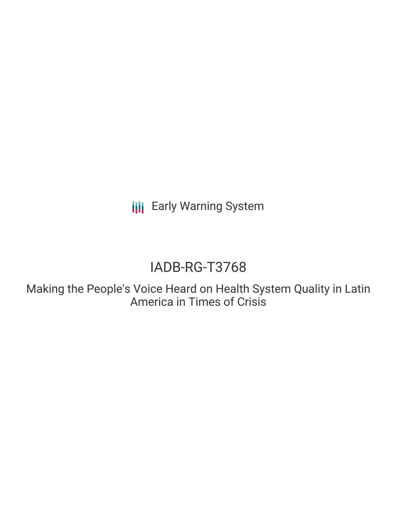**III** Early Warning System

# IADB-RG-T3768

Making the People's Voice Heard on Health System Quality in Latin America in Times of Crisis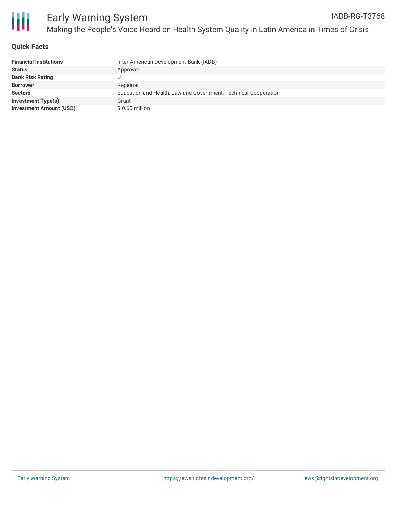

## **Quick Facts**

| <b>Financial Institutions</b>  | Inter-American Development Bank (IADB)                          |
|--------------------------------|-----------------------------------------------------------------|
| Status                         | Approved                                                        |
| <b>Bank Risk Rating</b>        |                                                                 |
| <b>Borrower</b>                | Regional                                                        |
| <b>Sectors</b>                 | Education and Health, Law and Government, Technical Cooperation |
| <b>Investment Type(s)</b>      | Grant                                                           |
| <b>Investment Amount (USD)</b> | $$0.65$ million                                                 |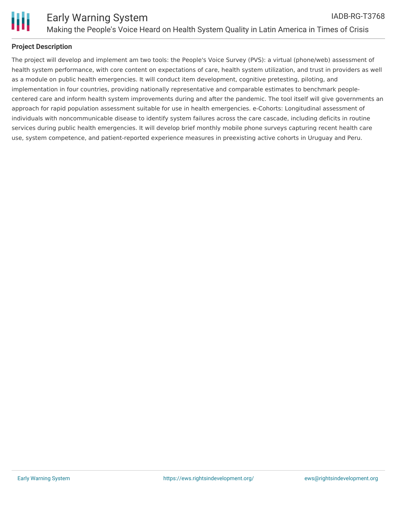

# **Project Description**

The project will develop and implement am two tools: the People's Voice Survey (PVS): a virtual (phone/web) assessment of health system performance, with core content on expectations of care, health system utilization, and trust in providers as well as a module on public health emergencies. It will conduct item development, cognitive pretesting, piloting, and implementation in four countries, providing nationally representative and comparable estimates to benchmark peoplecentered care and inform health system improvements during and after the pandemic. The tool itself will give governments an approach for rapid population assessment suitable for use in health emergencies. e-Cohorts: Longitudinal assessment of individuals with noncommunicable disease to identify system failures across the care cascade, including deficits in routine services during public health emergencies. It will develop brief monthly mobile phone surveys capturing recent health care use, system competence, and patient-reported experience measures in preexisting active cohorts in Uruguay and Peru.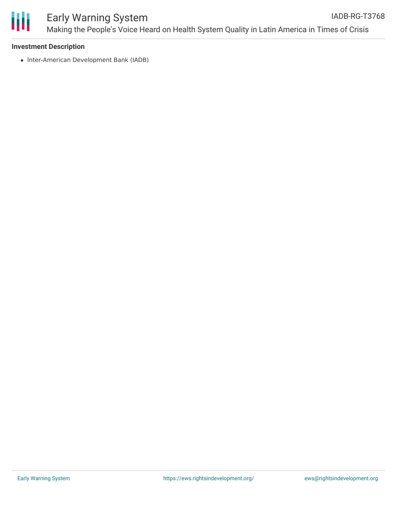

#### **Investment Description**

• Inter-American Development Bank (IADB)